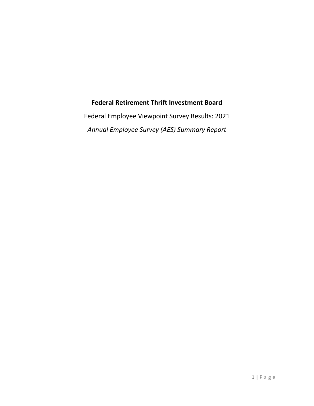# **Federal Retirement Thrift Investment Board**

Federal Employee Viewpoint Survey Results: 2021 *Annual Employee Survey (AES) Summary Report*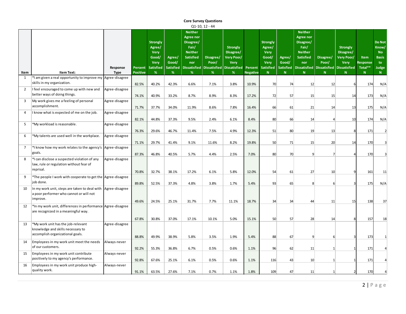|                |                                                                                                      |                         |                            |                                                                             |                                          |                                                                                                            | <b>Core Survey Questions</b> |                                                                                                                 |                            |                                                                                           |                                                    |                                                                                                                                    |                                   |                                                                                                              |                                          |                                                                  |
|----------------|------------------------------------------------------------------------------------------------------|-------------------------|----------------------------|-----------------------------------------------------------------------------|------------------------------------------|------------------------------------------------------------------------------------------------------------|------------------------------|-----------------------------------------------------------------------------------------------------------------|----------------------------|-------------------------------------------------------------------------------------------|----------------------------------------------------|------------------------------------------------------------------------------------------------------------------------------------|-----------------------------------|--------------------------------------------------------------------------------------------------------------|------------------------------------------|------------------------------------------------------------------|
|                |                                                                                                      |                         |                            |                                                                             |                                          |                                                                                                            | Q1-10, 12 - 44               |                                                                                                                 |                            |                                                                                           |                                                    |                                                                                                                                    |                                   |                                                                                                              |                                          |                                                                  |
| Item           | <b>Item Text:</b>                                                                                    | Response<br><b>Type</b> | Percent<br><b>Positive</b> | <b>Strongly</b><br>Agree/<br>Very<br>Good/<br>Very<br><b>Satisfied</b><br>% | Agree/<br>Good/<br><b>Satisfied</b><br>% | <b>Neither</b><br><b>Agree nor</b><br>Disagree/<br>Fair/<br><b>Neither</b><br><b>Satisfied</b><br>nor<br>% | Disagree/<br>Poor/<br>%      | <b>Strongly</b><br>Disagree/<br>Very Poor/<br><b>Very</b><br>Dissatisfied   Dissatisfied   Dissatisfied<br>$\%$ | Percent<br><b>Negative</b> | <b>Strongly</b><br>Agree/<br><b>Very</b><br>Good/<br><b>Very</b><br><b>Satisfied</b><br>N | Agree/<br>Good/<br><b>Satisfied</b><br>$\mathbf N$ | <b>Neither</b><br><b>Agree nor</b><br>Disagree/<br>Fair/<br><b>Neither</b><br><b>Satisfied</b><br>nor<br>Dissatisfied<br>${\bf N}$ | Disagree/<br>Poor/<br>$\mathbf N$ | <b>Strongly</b><br>Disagree/<br><b>Very Poor/</b><br><b>Very</b><br>Dissatisfied Dissatisfied<br>$\mathbf N$ | Item<br>Response<br>Total**<br>${\bf N}$ | Do Not<br>Know/<br><b>No</b><br><b>Basis</b><br>to<br>Judge<br>N |
| 1              | *I am given a real opportunity to improve my Agree-disagree                                          |                         |                            |                                                                             |                                          |                                                                                                            |                              |                                                                                                                 |                            |                                                                                           |                                                    |                                                                                                                                    |                                   |                                                                                                              |                                          |                                                                  |
|                | skills in my organization.                                                                           |                         | 82.5%                      | 40.2%                                                                       | 42.3%                                    | 6.6%                                                                                                       | 7.1%                         | 3.8%                                                                                                            | 10.9%                      | 70                                                                                        | 74                                                 | 12                                                                                                                                 | 12                                | 6                                                                                                            | 174                                      | N/A                                                              |
| $\overline{2}$ | I feel encouraged to come up with new and<br>better ways of doing things.                            | Agree-disagree          | 74.1%                      | 40.9%                                                                       | 33.2%                                    | 8.7%                                                                                                       | 8.9%                         | 8.3%                                                                                                            | 17.2%                      | 72                                                                                        | 57                                                 | 15                                                                                                                                 | 15                                | 14                                                                                                           | 173                                      | N/A                                                              |
| 3              | My work gives me a feeling of personal                                                               | Agree-disagree          |                            |                                                                             |                                          |                                                                                                            |                              |                                                                                                                 |                            |                                                                                           |                                                    |                                                                                                                                    |                                   |                                                                                                              |                                          |                                                                  |
|                | accomplishment.                                                                                      |                         | 71.7%                      | 37.7%                                                                       | 34.0%                                    | 11.9%                                                                                                      | 8.6%                         | 7.8%                                                                                                            | 16.4%                      | 66                                                                                        | 61                                                 | 21                                                                                                                                 | 14                                | 13                                                                                                           | 175                                      | N/A                                                              |
| 4              | I know what is expected of me on the job.                                                            | Agree-disagree          |                            |                                                                             |                                          |                                                                                                            |                              |                                                                                                                 |                            |                                                                                           |                                                    |                                                                                                                                    |                                   |                                                                                                              |                                          |                                                                  |
|                |                                                                                                      |                         | 82.1%                      | 44.8%                                                                       | 37.3%                                    | 9.5%                                                                                                       | 2.4%                         | 6.1%                                                                                                            | 8.4%                       | 80                                                                                        | 66                                                 | 14                                                                                                                                 | 4                                 | 10                                                                                                           | 174                                      | N/A                                                              |
| 5              | *My workload is reasonable.                                                                          | Agree-disagree          |                            |                                                                             |                                          |                                                                                                            |                              |                                                                                                                 |                            |                                                                                           |                                                    |                                                                                                                                    |                                   |                                                                                                              |                                          |                                                                  |
|                |                                                                                                      |                         | 76.3%                      | 29.6%                                                                       | 46.7%                                    | 11.4%                                                                                                      | 7.5%                         | 4.9%                                                                                                            | 12.3%                      | 51                                                                                        | 80                                                 | 19                                                                                                                                 | 13                                | 8                                                                                                            | 171                                      | $\overline{2}$                                                   |
| 6              | *My talents are used well in the workplace.                                                          | Agree-disagree          |                            |                                                                             |                                          |                                                                                                            |                              |                                                                                                                 |                            |                                                                                           |                                                    |                                                                                                                                    |                                   |                                                                                                              |                                          |                                                                  |
|                |                                                                                                      |                         | 71.1%                      | 29.7%                                                                       | 41.4%                                    | 9.1%                                                                                                       | 11.6%                        | 8.2%                                                                                                            | 19.8%                      | 50                                                                                        | 71                                                 | 15                                                                                                                                 | 20                                | 14                                                                                                           | 170                                      | 3                                                                |
| $\overline{7}$ | *I know how my work relates to the agency's                                                          | Agree-disagree          |                            |                                                                             |                                          |                                                                                                            |                              |                                                                                                                 |                            |                                                                                           |                                                    |                                                                                                                                    |                                   |                                                                                                              |                                          |                                                                  |
|                | goals.                                                                                               |                         | 87.3%                      | 46.8%                                                                       | 40.5%                                    | 5.7%                                                                                                       | 4.4%                         | 2.5%                                                                                                            | 7.0%                       | 80                                                                                        | 70                                                 | $\overline{9}$                                                                                                                     | 7 <sup>1</sup>                    |                                                                                                              | 170                                      | $\overline{3}$                                                   |
| 8              | *I can disclose a suspected violation of any<br>law, rule or regulation without fear of              | Agree-disagree          |                            |                                                                             |                                          |                                                                                                            |                              |                                                                                                                 |                            |                                                                                           |                                                    |                                                                                                                                    |                                   |                                                                                                              |                                          |                                                                  |
|                | reprisal.                                                                                            |                         | 70.8%                      | 32.7%                                                                       | 38.1%                                    | 17.2%                                                                                                      | 6.1%                         | 5.8%                                                                                                            | 12.0%                      | 54                                                                                        | 61                                                 | 27                                                                                                                                 | 10 <sup>1</sup>                   | 9                                                                                                            | 161                                      | 11                                                               |
| 9              | *The people I work with cooperate to get the Agree-disagree                                          |                         |                            |                                                                             |                                          |                                                                                                            |                              |                                                                                                                 |                            |                                                                                           |                                                    |                                                                                                                                    |                                   |                                                                                                              |                                          |                                                                  |
|                | job done.                                                                                            |                         | 89.8%                      | 52.5%                                                                       | 37.3%                                    | 4.8%                                                                                                       | 3.8%                         | 1.7%                                                                                                            | 5.4%                       | 93                                                                                        | 65                                                 | 8                                                                                                                                  | $6 \mid$                          | К                                                                                                            | 175                                      | N/A                                                              |
| 10             | In my work unit, steps are taken to deal with<br>a poor performer who cannot or will not<br>improve. | Agree-disagree          | 49.6%                      | 24.5%                                                                       | 25.1%                                    | 31.7%                                                                                                      | 7.7%                         | 11.1%                                                                                                           | 18.7%                      | 34                                                                                        | 34                                                 | 44                                                                                                                                 | 11                                | 15                                                                                                           | 138                                      | 37                                                               |
| 12             | *In my work unit, differences in performance Agree-disagree<br>are recognized in a meaningful way.   |                         |                            |                                                                             |                                          |                                                                                                            |                              |                                                                                                                 |                            |                                                                                           |                                                    |                                                                                                                                    |                                   |                                                                                                              |                                          |                                                                  |
|                |                                                                                                      |                         |                            |                                                                             |                                          |                                                                                                            |                              |                                                                                                                 |                            |                                                                                           |                                                    |                                                                                                                                    |                                   |                                                                                                              |                                          |                                                                  |
| 13             | *My work unit has the job-relevant                                                                   |                         | 67.8%                      | 30.8%                                                                       | 37.0%                                    | 17.1%                                                                                                      | 10.1%                        | 5.0%                                                                                                            | 15.1%                      | 50                                                                                        | 57                                                 | 28                                                                                                                                 | 14                                | 8                                                                                                            | 157                                      | 18                                                               |
|                | knowledge and skills necessary to                                                                    | Agree-disagree          |                            |                                                                             |                                          |                                                                                                            |                              |                                                                                                                 |                            |                                                                                           |                                                    |                                                                                                                                    |                                   |                                                                                                              |                                          |                                                                  |
|                | accomplish organizational goals.                                                                     |                         | 88.8%                      | 49.9%                                                                       | 38.9%                                    | 5.8%                                                                                                       | 3.5%                         | 1.9%                                                                                                            | 5.4%                       | 88                                                                                        | 67                                                 | $\overline{9}$                                                                                                                     | $6 \mid$                          | ₹                                                                                                            | 173                                      |                                                                  |
| 14             | Employees in my work unit meet the needs                                                             | Always-never            |                            |                                                                             |                                          |                                                                                                            |                              |                                                                                                                 |                            |                                                                                           |                                                    |                                                                                                                                    |                                   |                                                                                                              |                                          |                                                                  |
|                | of our customers.                                                                                    |                         | 92.2%                      | 55.3%                                                                       | 36.8%                                    | 6.7%                                                                                                       | 0.5%                         | 0.6%                                                                                                            | 1.1%                       | 96                                                                                        | 62                                                 | 11                                                                                                                                 | $1\vert$                          | $\mathbf{1}$                                                                                                 | 171                                      |                                                                  |
| 15             | Employees in my work unit contribute                                                                 | Always-never            |                            |                                                                             |                                          |                                                                                                            |                              |                                                                                                                 |                            |                                                                                           |                                                    |                                                                                                                                    |                                   |                                                                                                              |                                          |                                                                  |
|                | positively to my agency's performance.                                                               |                         | 92.8%                      | 67.6%                                                                       | 25.1%                                    | 6.1%                                                                                                       | 0.5%                         | 0.6%                                                                                                            | 1.1%                       | 116                                                                                       | 43                                                 | 10                                                                                                                                 | $1\vert$                          |                                                                                                              | 171                                      |                                                                  |
| 16             | Employees in my work unit produce high-                                                              | Always-never            |                            |                                                                             |                                          |                                                                                                            |                              |                                                                                                                 |                            |                                                                                           |                                                    |                                                                                                                                    |                                   |                                                                                                              |                                          |                                                                  |
|                | quality work.                                                                                        |                         | 91.1%                      | 63.5%                                                                       | 27.6%                                    | 7.1%                                                                                                       | 0.7%                         | 1.1%                                                                                                            | 1.8%                       | 109                                                                                       | 47                                                 | 11                                                                                                                                 | $1\vert$                          | $\overline{2}$                                                                                               | 170                                      |                                                                  |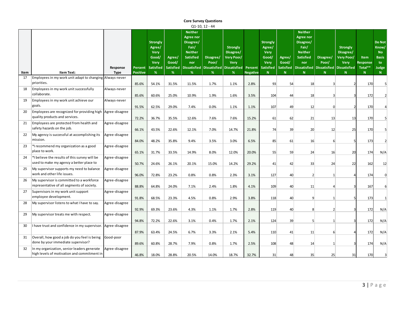|      |                                                                                            |                         |                     |                                                                                    |                                          |                                                                                                     | <b>Core Survey Questions</b> |                                                                                                       |                            |                                                                                         |                                           |                                                                                                                                    |                          |                                                                                                            |                                  |                                                                  |
|------|--------------------------------------------------------------------------------------------|-------------------------|---------------------|------------------------------------------------------------------------------------|------------------------------------------|-----------------------------------------------------------------------------------------------------|------------------------------|-------------------------------------------------------------------------------------------------------|----------------------------|-----------------------------------------------------------------------------------------|-------------------------------------------|------------------------------------------------------------------------------------------------------------------------------------|--------------------------|------------------------------------------------------------------------------------------------------------|----------------------------------|------------------------------------------------------------------|
|      |                                                                                            |                         |                     |                                                                                    |                                          |                                                                                                     | Q1-10, 12 - 44               |                                                                                                       |                            |                                                                                         |                                           |                                                                                                                                    |                          |                                                                                                            |                                  |                                                                  |
| Item | Item Text:                                                                                 | Response<br><b>Type</b> | Percent<br>Positive | <b>Strongly</b><br>Agree/<br><b>Very</b><br>Good/<br>Very<br><b>Satisfied</b><br>% | Agree/<br>Good/<br><b>Satisfied</b><br>% | <b>Neither</b><br><b>Agree nor</b><br>Disagree/<br>Fair/<br><b>Neither</b><br>Satisfied<br>nor<br>% | Disagree/<br>Poor/<br>%      | <b>Strongly</b><br>Disagree/<br>Very Poor/<br>Very<br>Dissatisfied   Dissatisfied   Dissatisfied<br>% | Percent<br><b>Negative</b> | <b>Strongly</b><br>Agree/<br><b>Very</b><br>Good/<br>Very<br><b>Satisfied</b><br>$\,$ N | Agree/<br>Good/<br><b>Satisfied</b><br>N. | <b>Neither</b><br><b>Agree nor</b><br>Disagree/<br>Fair/<br><b>Neither</b><br><b>Satisfied</b><br>nor<br><b>Dissatisfied</b><br>N. | Disagree/<br>Poor/<br>N  | <b>Strongly</b><br>Disagree/<br><b>Very Poor/</b><br><b>Very</b><br><b>Dissatisfied Dissatisfied</b><br>N. | Item<br>Response<br>Total**<br>N | Do Not<br>Know/<br><b>No</b><br><b>Basis</b><br>to<br>Judge<br>N |
| 17   | Employees in my work unit adapt to changing Always-never                                   |                         |                     |                                                                                    |                                          |                                                                                                     |                              |                                                                                                       |                            |                                                                                         |                                           |                                                                                                                                    |                          |                                                                                                            |                                  |                                                                  |
|      | priorities.                                                                                |                         | 85.6%               | 54.1%                                                                              | 31.5%                                    | 11.5%                                                                                               | 1.7%                         | 1.1%                                                                                                  | 2.8%                       | 93                                                                                      | 54                                        | 18                                                                                                                                 | $\overline{3}$           |                                                                                                            | 170                              | 5                                                                |
| 18   | Employees in my work unit successfully<br>collaborate.                                     | Always-never            | 85.6%               | 60.6%                                                                              | 25.0%                                    | 10.9%                                                                                               | 1.9%                         | 1.6%                                                                                                  | 3.5%                       | 104                                                                                     | 44                                        | 18                                                                                                                                 | 3 <sup>1</sup>           | 3                                                                                                          | 172                              | $\overline{2}$                                                   |
| 19   | Employees in my work unit achieve our<br>goals.                                            | Always-never            | 91.5%               | 62.5%                                                                              | 29.0%                                    | 7.4%                                                                                                | 0.0%                         | 1.1%                                                                                                  | 1.1%                       | 107                                                                                     | 49                                        | 12                                                                                                                                 | $\overline{0}$           | $\overline{z}$                                                                                             | 170                              |                                                                  |
| 20   | Employees are recognized for providing high<br>quality products and services.              | Agree-disagree          | 72.2%               | 36.7%                                                                              | 35.5%                                    | 12.6%                                                                                               | 7.6%                         | 7.6%                                                                                                  | 15.2%                      | 61                                                                                      | 62                                        | 21                                                                                                                                 | 13                       | 13                                                                                                         | 170                              | 5                                                                |
| 21   | Employees are protected from health and<br>safety hazards on the job.                      | Agree-disagree          | 66.1%               | 43.5%                                                                              | 22.6%                                    | 12.1%                                                                                               | 7.0%                         | 14.7%                                                                                                 | 21.8%                      | 74                                                                                      | 39                                        | 20                                                                                                                                 | 12                       | 25                                                                                                         | 170                              | 5                                                                |
| 22   | My agency is successful at accomplishing its<br>mission.                                   | Agree-disagree          | 84.0%               | 48.2%                                                                              | 35.8%                                    | 9.4%                                                                                                | 3.5%                         | 3.0%                                                                                                  | 6.5%                       | 85                                                                                      | 61                                        | 16                                                                                                                                 | $6 \mid$                 | 5                                                                                                          | 173                              | $\overline{2}$                                                   |
| 23   | *I recommend my organization as a good<br>place to work.                                   | Agree-disagree          |                     |                                                                                    |                                          | 14.9%                                                                                               | 8.0%                         | 12.0%                                                                                                 |                            | 55                                                                                      |                                           |                                                                                                                                    |                          |                                                                                                            | 174                              |                                                                  |
| 24   | *I believe the results of this survey will be<br>used to make my agency a better place to  | Agree-disagree          | 65.1%<br>50.7%      | 31.7%<br>24.6%                                                                     | 33.5%<br>26.1%                           | 20.1%                                                                                               | 15.0%                        | 14.2%                                                                                                 | 20.0%<br>29.2%             | 41                                                                                      | 59<br>42                                  | 24<br>33                                                                                                                           | 16<br>24                 | 20<br>22                                                                                                   | 162                              | N/A<br>12                                                        |
| 25   | My supervisor supports my need to balance<br>work and other life issues.                   | Agree-disagree          | 96.0%               | 72.8%                                                                              | 23.2%                                    | 0.8%                                                                                                | 0.8%                         | 2.3%                                                                                                  | 3.1%                       | 127                                                                                     | 40                                        | 2 <sup>1</sup>                                                                                                                     | $\mathbf{1}$             |                                                                                                            | 174                              | $\mathbf{0}$                                                     |
| 26   | My supervisor is committed to a workforce<br>representative of all segments of society.    | Agree-disagree          | 88.8%               | 64.8%                                                                              | 24.0%                                    | 7.1%                                                                                                | 2.4%                         | 1.8%                                                                                                  | 4.1%                       | 109                                                                                     | 40                                        | 11                                                                                                                                 | $\overline{4}$           | 3                                                                                                          | 167                              | 6                                                                |
| 27   | Supervisors in my work unit support<br>employee development.                               | Agree-disagree          | 91.8%               | 68.5%                                                                              | 23.3%                                    | 4.5%                                                                                                | 0.8%                         | 2.9%                                                                                                  | 3.8%                       | 118                                                                                     | 40                                        | $\overline{9}$                                                                                                                     | $\mathbf{1}$             | 5                                                                                                          | 173                              | $\mathbf{1}$                                                     |
| 28   | My supervisor listens to what I have to say.                                               | Agree-disagree          | 92.9%               | 69.3%                                                                              | 23.6%                                    | 4.3%                                                                                                | 1.1%                         | 1.7%                                                                                                  | 2.8%                       | 119                                                                                     | 40                                        | 8 <sup>1</sup>                                                                                                                     |                          | 3                                                                                                          | 172                              |                                                                  |
| 29   | My supervisor treats me with respect.                                                      | Agree-disagree          | 94.8%               | 72.2%                                                                              | 22.6%                                    | 3.1%                                                                                                | 0.4%                         | 1.7%                                                                                                  | 2.1%                       | 124                                                                                     | 39                                        |                                                                                                                                    | 2 <sup>1</sup>           | 3                                                                                                          | 172                              | N/A                                                              |
| 30   | I have trust and confidence in my supervisor.                                              | Agree-disagree          | 87.9%               | 63.4%                                                                              | 24.5%                                    | 6.7%                                                                                                | 3.3%                         | 2.1%                                                                                                  | 5.4%                       | 110                                                                                     | 41                                        | 5 <sup>1</sup><br>11                                                                                                               | $\mathbf{1}$<br>$6 \mid$ |                                                                                                            | 172                              | N/A                                                              |
| 31   | Overall, how good a job do you feel is being<br>done by your immediate supervisor?         | Good-poor               |                     |                                                                                    |                                          |                                                                                                     |                              |                                                                                                       |                            |                                                                                         |                                           |                                                                                                                                    |                          | 3                                                                                                          |                                  | N/A                                                              |
| 32   | In my organization, senior leaders generate<br>high levels of motivation and commitment in | Agree-disagree          | 89.6%               | 60.8%                                                                              | 28.7%                                    | 7.9%                                                                                                | 0.8%                         | 1.7%                                                                                                  | 2.5%                       | 108                                                                                     | 48                                        | 14                                                                                                                                 | $\mathbf{1}$             |                                                                                                            | 174                              | N/A                                                              |
|      |                                                                                            |                         | 46.8%               | 18.0%                                                                              | 28.8%                                    | 20.5%                                                                                               | 14.0%                        | 18.7%                                                                                                 | 32.7%                      | 31                                                                                      | 48                                        | 35 <sup>2</sup>                                                                                                                    | 25                       | 31                                                                                                         | 170                              |                                                                  |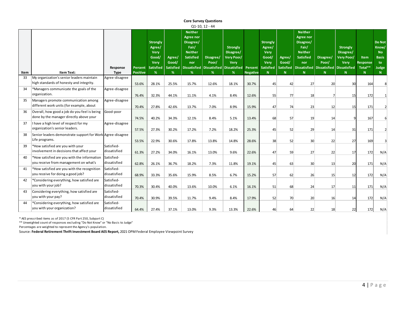|      |                                                                                         |                            |                            |                                                                      |                                          |                                                                                                            | <b>Core Survey Questions</b>                         |                                                                                |                            |                                                                                    |                                           |                                                                                                                             |                         |                                                                                              |                                  |                                                                          |
|------|-----------------------------------------------------------------------------------------|----------------------------|----------------------------|----------------------------------------------------------------------|------------------------------------------|------------------------------------------------------------------------------------------------------------|------------------------------------------------------|--------------------------------------------------------------------------------|----------------------------|------------------------------------------------------------------------------------|-------------------------------------------|-----------------------------------------------------------------------------------------------------------------------------|-------------------------|----------------------------------------------------------------------------------------------|----------------------------------|--------------------------------------------------------------------------|
|      |                                                                                         |                            |                            |                                                                      |                                          |                                                                                                            | Q1-10, 12 - 44                                       |                                                                                |                            |                                                                                    |                                           |                                                                                                                             |                         |                                                                                              |                                  |                                                                          |
| Item | <b>Item Text:</b>                                                                       | Response<br>Type           | Percent<br><b>Positive</b> | <b>Strongly</b><br>Agree/<br>Very<br>Good/<br>Very<br>Satisfied<br>% | Agree/<br>Good/<br><b>Satisfied</b><br>% | <b>Neither</b><br><b>Agree nor</b><br>Disagree/<br>Fair/<br><b>Neither</b><br><b>Satisfied</b><br>nor<br>% | Disagree/<br>Poor/<br>Dissatisfied Dissatisfied<br>% | <b>Strongly</b><br>Disagree/<br>Very Poor/<br>Very<br><b>Dissatisfied</b><br>% | Percent<br><b>Negative</b> | <b>Strongly</b><br>Agree/<br><b>Very</b><br>Good/<br>Very<br><b>Satisfied</b><br>N | Agree/<br>Good/<br><b>Satisfied</b><br>N. | <b>Neither</b><br>Agree nor<br>Disagree/<br>Fair/<br><b>Neither</b><br><b>Satisfied</b><br>nor<br><b>Dissatisfied</b><br>N. | Disagree/<br>Poor/<br>N | <b>Strongly</b><br>Disagree/<br><b>Very Poor/</b><br>Very<br>Dissatisfied Dissatisfied<br>N. | Item<br>Response<br>Total**<br>N | <b>Do Not</b><br>Know/<br><b>No</b><br><b>Basis</b><br>to.<br>Judge<br>N |
| 33   | My organization's senior leaders maintain                                               | Agree-disagree             |                            |                                                                      |                                          |                                                                                                            |                                                      |                                                                                |                            |                                                                                    |                                           |                                                                                                                             |                         |                                                                                              |                                  |                                                                          |
|      | high standards of honesty and integrity.                                                |                            | 53.6%                      | 28.1%                                                                | 25.5%                                    | 15.7%                                                                                                      | 12.6%                                                | 18.1%                                                                          | 30.7%                      | 45                                                                                 | 42                                        | 27                                                                                                                          | 20                      | 30                                                                                           | 164                              |                                                                          |
| 34   | *Managers communicate the goals of the<br>organization.                                 | Agree-disagree             | 76.4%                      | 32.3%                                                                | 44.1%                                    | 11.1%                                                                                                      | 4.1%                                                 | 8.4%                                                                           | 12.6%                      | 55                                                                                 | 77                                        | 18                                                                                                                          | $\overline{7}$          | 15                                                                                           | 172                              | $\mathbf{1}$                                                             |
| 35   | Managers promote communication among<br>different work units (for example, about        | Agree-disagree             | 70.4%                      | 27.8%                                                                | 42.6%                                    | 13.7%                                                                                                      | 7.0%                                                 | 8.9%                                                                           | 15.9%                      | 47                                                                                 | 74                                        | 23                                                                                                                          | 12                      | 15                                                                                           | 171                              | $\overline{2}$                                                           |
| 36   | Overall, how good a job do you feel is being<br>done by the manager directly above your | Good-poor                  | 74.5%                      | 40.2%                                                                | 34.3%                                    | 12.1%                                                                                                      | 8.4%                                                 | 5.1%                                                                           | 13.4%                      | 68                                                                                 | 57                                        | 19                                                                                                                          | 14                      | 9                                                                                            | 167                              | 6                                                                        |
| 37   | I have a high level of respect for my<br>organization's senior leaders.                 | Agree-disagree             | 57.5%                      | 27.3%                                                                | 30.2%                                    | 17.2%                                                                                                      | 7.2%                                                 | 18.2%                                                                          | 25.3%                      | 45                                                                                 | 52                                        | 29                                                                                                                          | 14                      | 31                                                                                           | 171                              |                                                                          |
| 38   | Senior leaders demonstrate support for Work Agree-disagree<br>Life programs.            |                            | 53.5%                      | 22.9%                                                                | 30.6%                                    | 17.8%                                                                                                      | 13.8%                                                | 14.8%                                                                          | 28.6%                      | 38                                                                                 | 52                                        | 30 <sup>°</sup>                                                                                                             | 22                      | 27                                                                                           | 169                              |                                                                          |
| 39   | *How satisfied are you with your<br>involvement in decisions that affect your           | Satisfied-<br>dissatisfied | 61.3%                      | 27.2%                                                                | 34.0%                                    | 16.1%                                                                                                      | 13.0%                                                | 9.6%                                                                           | 22.6%                      | 47                                                                                 | 59                                        | 27                                                                                                                          | 22                      | 17                                                                                           | 172                              | N/A                                                                      |
| 40   | *How satisfied are you with the information<br>you receive from management on what's    | Satisfied-<br>dissatisfied | 62.8%                      | 26.1%                                                                | 36.7%                                    | 18.2%                                                                                                      | 7.3%                                                 | 11.8%                                                                          | 19.1%                      | 45                                                                                 | 63                                        | 30 <sup>°</sup>                                                                                                             | 13                      | 20                                                                                           | 171                              | N/A                                                                      |
| 41   | *How satisfied are you with the recognition<br>you receive for doing a good job?        | Satisfied-<br>dissatisfied | 68.9%                      | 33.3%                                                                | 35.6%                                    | 15.9%                                                                                                      | 8.5%                                                 | 6.7%                                                                           | 15.2%                      | 57                                                                                 | 62                                        | 26                                                                                                                          | 15 <sup>1</sup>         | 12                                                                                           | 172                              | N/A                                                                      |
| 42   | *Considering everything, how satisfied are<br>you with your job?                        | Satisfied-<br>dissatisfied | 70.3%                      | 30.4%                                                                | 40.0%                                    | 13.6%                                                                                                      | 10.0%                                                | 6.1%                                                                           | 16.1%                      | 51                                                                                 | 68                                        | 24                                                                                                                          | 17                      | 11                                                                                           | 171                              | N/A                                                                      |
| 43   | Considering everything, how satisfied are<br>you with your pay?                         | Satisfied-<br>dissatisfied | 70.4%                      | 30.9%                                                                | 39.5%                                    | 11.7%                                                                                                      | 9.4%                                                 | 8.4%                                                                           | 17.9%                      | 52                                                                                 | 70                                        | 20                                                                                                                          | 16                      | 14                                                                                           | 172                              | N/A                                                                      |
| 44   | *Considering everything, how satisfied are<br>you with your organization?               | Satisfied-<br>dissatisfied | 64.4%                      | 27.4%                                                                | 37.1%                                    | 13.0%                                                                                                      | 9.3%                                                 | 13.3%                                                                          | 22.6%                      | 46                                                                                 | 64                                        | 22                                                                                                                          | 18                      | 22                                                                                           | 172                              | N/A                                                                      |

\* AES prescribed items as of 2017 (5 CFR Part 250, Subpart C)

\*\* Unweighted count of responses excluding "Do Not Know" or "No Basis to Judge"

Percentages are weighted to represent the Agency's population.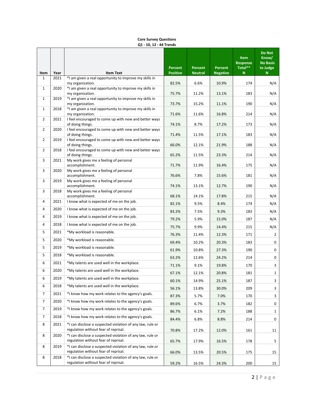| Item           | Year | <b>Item Text</b>                                                                                  | Percent<br><b>Positive</b> | <b>Percent</b><br><b>Neutral</b> | Percent<br><b>Negative</b> | <b>Item</b><br><b>Response</b><br>Total**<br>N. | <b>Do Not</b><br>Know/<br><b>No Basis</b><br>to Judge<br>N. |
|----------------|------|---------------------------------------------------------------------------------------------------|----------------------------|----------------------------------|----------------------------|-------------------------------------------------|-------------------------------------------------------------|
| $\mathbf{1}$   | 2021 | *I am given a real opportunity to improve my skills in<br>my organization.                        | 82.5%                      | 6.6%                             | 10.9%                      | 174                                             | N/A                                                         |
| $\mathbf{1}$   | 2020 | *I am given a real opportunity to improve my skills in<br>my organization.                        | 75.7%                      | 11.2%                            | 13.1%                      | 183                                             | N/A                                                         |
| $\mathbf{1}$   | 2019 | *I am given a real opportunity to improve my skills in                                            |                            |                                  |                            |                                                 |                                                             |
| $\mathbf{1}$   | 2018 | my organization.<br>*I am given a real opportunity to improve my skills in                        | 73.7%                      | 15.2%                            | 11.1%                      | 190                                             | N/A                                                         |
|                |      | my organization.                                                                                  | 71.6%                      | 11.6%                            | 16.8%                      | 214                                             | N/A                                                         |
| $\overline{2}$ | 2021 | I feel encouraged to come up with new and better ways<br>of doing things.                         | 74.1%                      | 8.7%                             | 17.2%                      | 173                                             | N/A                                                         |
| $\overline{2}$ | 2020 | I feel encouraged to come up with new and better ways<br>of doing things.                         | 71.4%                      | 11.5%                            | 17.1%                      | 183                                             | N/A                                                         |
| $\overline{2}$ | 2019 | I feel encouraged to come up with new and better ways<br>of doing things.                         | 66.0%                      | 12.1%                            | 21.9%                      | 188                                             | N/A                                                         |
| $\overline{2}$ | 2018 | I feel encouraged to come up with new and better ways<br>of doing things.                         | 65.2%                      | 11.5%                            | 23.3%                      | 214                                             | N/A                                                         |
| 3              | 2021 | My work gives me a feeling of personal                                                            |                            |                                  |                            |                                                 |                                                             |
| 3              | 2020 | accomplishment.<br>My work gives me a feeling of personal                                         | 71.7%                      | 11.9%                            | 16.4%                      | 175                                             | N/A                                                         |
|                |      | accomplishment.                                                                                   | 76.6%                      | 7.8%                             | 15.6%                      | 181                                             | N/A                                                         |
| 3              | 2019 | My work gives me a feeling of personal<br>accomplishment.                                         | 74.1%                      | 13.1%                            | 12.7%                      | 190                                             | N/A                                                         |
| 3              | 2018 | My work gives me a feeling of personal<br>accomplishment.                                         | 68.1%                      | 14.1%                            | 17.8%                      | 215                                             | N/A                                                         |
| 4              | 2021 | I know what is expected of me on the job.                                                         | 82.1%                      | 9.5%                             | 8.4%                       | 174                                             | N/A                                                         |
| 4              | 2020 | I know what is expected of me on the job.                                                         | 83.2%                      | 7.5%                             | 9.3%                       | 183                                             | N/A                                                         |
| 4              | 2019 | I know what is expected of me on the job.                                                         | 79.2%                      | 5.9%                             | 15.0%                      | 187                                             | N/A                                                         |
| 4              | 2018 | I know what is expected of me on the job.                                                         | 75.7%                      | 9.9%                             | 14.4%                      | 215                                             | N/A                                                         |
| 5              | 2021 | *My workload is reasonable.                                                                       | 76.3%                      | 11.4%                            | 12.3%                      | 171                                             | 2                                                           |
| 5              | 2020 | *My workload is reasonable.                                                                       | 69.4%                      | 10.2%                            | 20.3%                      | 183                                             | 0                                                           |
| 5              | 2019 | *My workload is reasonable.                                                                       | 61.9%                      | 10.8%                            | 27.3%                      | 190                                             | 0                                                           |
| 5              | 2018 | *My workload is reasonable.                                                                       | 63.2%                      | 12.6%                            | 24.2%                      | 214                                             | 0                                                           |
| 6              | 2021 | *My talents are used well in the workplace.                                                       | 71.1%                      | 9.1%                             | 19.8%                      | 170                                             | 3                                                           |
| 6              | 2020 | *My talents are used well in the workplace.                                                       | 67.1%                      | 12.1%                            | 20.8%                      | 181                                             | $\mathbf{1}$                                                |
| 6              | 2019 | *My talents are used well in the workplace.                                                       | 60.1%                      | 14.9%                            | 25.1%                      | 187                                             | 3                                                           |
| 6              | 2018 | *My talents are used well in the workplace.                                                       | 56.1%                      | 13.8%                            | 30.0%                      | 209                                             | 3                                                           |
| $\overline{7}$ | 2021 | *I know how my work relates to the agency's goals.                                                | 87.3%                      | 5.7%                             | 7.0%                       | 170                                             | 3                                                           |
| $\overline{7}$ | 2020 | *I know how my work relates to the agency's goals.                                                | 89.6%                      | 6.7%                             | 3.7%                       | 182                                             | 0                                                           |
| $\overline{7}$ | 2019 | *I know how my work relates to the agency's goals.                                                | 86.7%                      | 6.1%                             | 7.2%                       | 188                                             | $\mathbf{1}$                                                |
| $\overline{7}$ | 2018 | *I know how my work relates to the agency's goals.                                                | 84.4%                      | 6.8%                             | 8.8%                       | 214                                             | 0                                                           |
| 8              | 2021 | *I can disclose a suspected violation of any law, rule or                                         |                            |                                  |                            |                                                 |                                                             |
| 8              | 2020 | regulation without fear of reprisal.<br>*I can disclose a suspected violation of any law, rule or | 70.8%                      | 17.2%                            | 12.0%                      | 161                                             | 11                                                          |
|                |      | regulation without fear of reprisal.                                                              | 65.7%                      | 17.9%                            | 16.5%                      | 178                                             | 5                                                           |
| 8              | 2019 | *I can disclose a suspected violation of any law, rule or<br>regulation without fear of reprisal. | 66.0%                      | 13.5%                            | 20.5%                      | 175                                             | 15                                                          |
| 8              | 2018 | *I can disclose a suspected violation of any law, rule or<br>regulation without fear of reprisal. | 59.2%                      | 16.5%                            | 24.3%                      | 200                                             | 15                                                          |

**Core Survey Questions Q1 - 10, 12 - 44 Trends**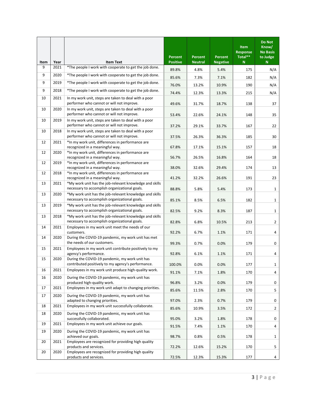| Item | Year | <b>Item Text</b>                                                                                         | Percent<br><b>Positive</b> | <b>Percent</b><br><b>Neutral</b> | Percent<br><b>Negative</b> | <b>Item</b><br><b>Response</b><br>Total**<br>N | Do Not<br>Know/<br><b>No Basis</b><br>to Judge<br>$\mathbf N$ |
|------|------|----------------------------------------------------------------------------------------------------------|----------------------------|----------------------------------|----------------------------|------------------------------------------------|---------------------------------------------------------------|
| 9    | 2021 | *The people I work with cooperate to get the job done.                                                   | 89.8%                      | 4.8%                             | 5.4%                       | 175                                            | N/A                                                           |
| 9    | 2020 | *The people I work with cooperate to get the job done.                                                   | 85.6%                      | 7.3%                             | 7.1%                       | 182                                            | N/A                                                           |
| 9    | 2019 | *The people I work with cooperate to get the job done.                                                   | 76.0%                      | 13.2%                            | 10.9%                      | 190                                            | N/A                                                           |
| 9    | 2018 | *The people I work with cooperate to get the job done.                                                   |                            |                                  |                            |                                                |                                                               |
| 10   | 2021 | In my work unit, steps are taken to deal with a poor<br>performer who cannot or will not improve.        | 74.4%<br>49.6%             | 12.3%<br>31.7%                   | 13.3%<br>18.7%             | 215<br>138                                     | N/A<br>37                                                     |
| 10   | 2020 | In my work unit, steps are taken to deal with a poor<br>performer who cannot or will not improve.        | 53.4%                      | 22.6%                            | 24.1%                      | 148                                            | 35                                                            |
| 10   | 2019 | In my work unit, steps are taken to deal with a poor<br>performer who cannot or will not improve.        | 37.2%                      | 29.1%                            | 33.7%                      | 167                                            | 22                                                            |
| 10   | 2018 | In my work unit, steps are taken to deal with a poor<br>performer who cannot or will not improve.        | 37.5%                      | 26.3%                            | 36.3%                      | 185                                            | 30                                                            |
| 12   | 2021 | *In my work unit, differences in performance are                                                         |                            |                                  |                            |                                                |                                                               |
| 12   | 2020 | recognized in a meaningful way.<br>*In my work unit, differences in performance are                      | 67.8%                      | 17.1%                            | 15.1%                      | 157                                            | 18                                                            |
|      |      | recognized in a meaningful way.                                                                          | 56.7%                      | 26.5%                            | 16.8%                      | 164                                            | 18                                                            |
| 12   | 2019 | *In my work unit, differences in performance are<br>recognized in a meaningful way.                      | 38.0%                      | 32.6%                            | 29.4%                      | 174                                            | 13                                                            |
| 12   | 2018 | *In my work unit, differences in performance are<br>recognized in a meaningful way.                      | 41.2%                      | 32.2%                            | 26.6%                      | 191                                            | 23                                                            |
| 13   | 2021 | *My work unit has the job-relevant knowledge and skills                                                  |                            |                                  |                            |                                                |                                                               |
| 13   | 2020 | necessary to accomplish organizational goals.<br>*My work unit has the job-relevant knowledge and skills | 88.8%                      | 5.8%                             | 5.4%                       | 173                                            | 1                                                             |
|      |      | necessary to accomplish organizational goals.                                                            | 85.1%                      | 8.5%                             | 6.5%                       | 182                                            | $\mathbf{1}$                                                  |
| 13   | 2019 | *My work unit has the job-relevant knowledge and skills<br>necessary to accomplish organizational goals. | 82.5%                      | 9.2%                             | 8.3%                       | 187                                            | $\mathbf{1}$                                                  |
| 13   | 2018 | *My work unit has the job-relevant knowledge and skills<br>necessary to accomplish organizational goals. | 82.8%                      | 6.8%                             | 10.5%                      | 213                                            | $\overline{2}$                                                |
| 14   | 2021 | Employees in my work unit meet the needs of our<br>customers.                                            | 92.2%                      | 6.7%                             | 1.1%                       | 171                                            | 4                                                             |
| 14   | 2020 | During the COVID-19 pandemic, my work unit has met<br>the needs of our customers.                        | 99.3%                      | 0.7%                             | 0.0%                       | 179                                            | 0                                                             |
| 15   | 2021 | Employees in my work unit contribute positively to my<br>agency's performance.                           | 92.8%                      | 6.1%                             | 1.1%                       | 171                                            | 4                                                             |
| 15   | 2020 | During the COVID-19 pandemic, my work unit has<br>contributed positively to my agency's performance.     | 100.0%                     | 0.0%                             | 0.0%                       | 177                                            | 1                                                             |
| 16   | 2021 | Employees in my work unit produce high-quality work.                                                     | 91.1%                      | 7.1%                             | 1.8%                       | 170                                            | $\overline{a}$                                                |
| 16   | 2020 | During the COVID-19 pandemic, my work unit has<br>produced high-quality work.                            | 96.8%                      | 3.2%                             | 0.0%                       | 179                                            | 0                                                             |
| 17   | 2021 | Employees in my work unit adapt to changing priorities.                                                  | 85.6%                      | 11.5%                            | 2.8%                       | 170                                            | 5                                                             |
| 17   | 2020 | During the COVID-19 pandemic, my work unit has<br>adapted to changing priorities.                        | 97.0%                      | 2.3%                             | 0.7%                       | 179                                            | 0                                                             |
| 18   | 2021 | Employees in my work unit successfully collaborate.                                                      | 85.6%                      | 10.9%                            | 3.5%                       | 172                                            | $\overline{2}$                                                |
| 18   | 2020 | During the COVID-19 pandemic, my work unit has<br>successfully collaborated.                             | 95.0%                      | 3.2%                             | 1.8%                       | 178                                            | 0                                                             |
| 19   | 2021 | Employees in my work unit achieve our goals.                                                             | 91.5%                      | 7.4%                             | 1.1%                       | 170                                            | 4                                                             |
| 19   | 2020 | During the COVID-19 pandemic, my work unit has<br>achieved our goals.                                    | 98.7%                      | 0.8%                             | 0.5%                       | 178                                            | 1                                                             |
| 20   | 2021 | Employees are recognized for providing high quality<br>products and services.                            | 72.2%                      | 12.6%                            | 15.2%                      | 170                                            | 5                                                             |
| 20   | 2020 | Employees are recognized for providing high quality<br>products and services.                            | 72.5%                      | 12.3%                            | 15.3%                      | 177                                            | 4                                                             |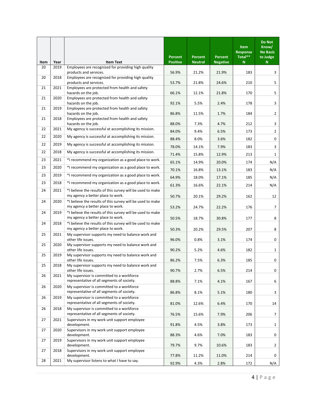| Item | Year | <b>Item Text</b>                                                                                | Percent<br><b>Positive</b> | <b>Percent</b><br><b>Neutral</b> | Percent<br><b>Negative</b> | <b>Item</b><br><b>Response</b><br>Total**<br>N | Do Not<br>Know/<br><b>No Basis</b><br>to Judge<br>$\mathbf N$ |
|------|------|-------------------------------------------------------------------------------------------------|----------------------------|----------------------------------|----------------------------|------------------------------------------------|---------------------------------------------------------------|
| 20   | 2019 | Employees are recognized for providing high quality<br>products and services.                   | 56.9%                      | 21.2%                            | 21.9%                      | 183                                            | 3                                                             |
| 20   | 2018 | Employees are recognized for providing high quality<br>products and services.                   | 53.7%                      | 21.8%                            | 24.6%                      | 210                                            | 5                                                             |
| 21   | 2021 | Employees are protected from health and safety<br>hazards on the job.                           | 66.1%                      | 12.1%                            | 21.8%                      | 170                                            | 5                                                             |
| 21   | 2020 | Employees are protected from health and safety<br>hazards on the job.                           | 92.1%                      | 5.5%                             | 2.4%                       | 178                                            | 3                                                             |
| 21   | 2019 | Employees are protected from health and safety<br>hazards on the job.                           | 86.8%                      | 11.5%                            | 1.7%                       | 184                                            | $\overline{2}$                                                |
| 21   | 2018 | Employees are protected from health and safety                                                  |                            |                                  |                            |                                                |                                                               |
| 22   | 2021 | hazards on the job.<br>My agency is successful at accomplishing its mission.                    | 88.0%<br>84.0%             | 7.3%<br>9.4%                     | 4.7%<br>6.5%               | 212<br>173                                     | 3<br>$\overline{2}$                                           |
| 22   | 2020 | My agency is successful at accomplishing its mission.                                           | 88.4%                      | 8.0%                             | 3.6%                       | 182                                            | 0                                                             |
| 22   | 2019 | My agency is successful at accomplishing its mission.                                           | 78.0%                      | 14.1%                            | 7.9%                       | 183                                            | 3                                                             |
| 22   | 2018 | My agency is successful at accomplishing its mission.                                           | 71.4%                      | 15.8%                            | 12.9%                      | 213                                            | 1                                                             |
| 23   | 2021 | *I recommend my organization as a good place to work.                                           | 65.1%                      | 14.9%                            | 20.0%                      | 174                                            | N/A                                                           |
| 23   | 2020 | *I recommend my organization as a good place to work.                                           | 70.1%                      | 16.8%                            | 13.1%                      | 183                                            | N/A                                                           |
| 23   | 2019 | *I recommend my organization as a good place to work.                                           | 64.9%                      | 18.0%                            | 17.1%                      | 185                                            | N/A                                                           |
| 23   | 2018 | *I recommend my organization as a good place to work.                                           | 61.3%                      | 16.6%                            | 22.1%                      | 214                                            | N/A                                                           |
| 24   | 2021 | *I believe the results of this survey will be used to make<br>my agency a better place to work. | 50.7%                      | 20.1%                            | 29.2%                      | 162                                            | 12                                                            |
| 24   | 2020 | *I believe the results of this survey will be used to make<br>my agency a better place to work. | 53.2%                      | 24.7%                            | 22.2%                      | 176                                            | 7                                                             |
| 24   | 2019 | *I believe the results of this survey will be used to make<br>my agency a better place to work. | 50.5%                      | 18.7%                            | 30.8%                      | 177                                            | 8                                                             |
| 24   | 2018 | *I believe the results of this survey will be used to make<br>my agency a better place to work. | 50.3%                      | 20.2%                            | 29.5%                      | 207                                            | 8                                                             |
| 25   | 2021 | My supervisor supports my need to balance work and<br>other life issues.                        | 96.0%                      | 0.8%                             | 3.1%                       | 174                                            | 0                                                             |
| 25   | 2020 | My supervisor supports my need to balance work and<br>other life issues.                        | 90.2%                      | 5.2%                             | 4.6%                       | 182                                            | 1                                                             |
| 25   | 2019 | My supervisor supports my need to balance work and<br>other life issues.                        | 86.2%                      | 7.5%                             | 6.3%                       | 185                                            | 0                                                             |
| 25   | 2018 | My supervisor supports my need to balance work and<br>other life issues.                        | 90.7%                      | 2.7%                             | 6.5%                       | 214                                            | 0                                                             |
| 26   | 2021 | My supervisor is committed to a workforce<br>representative of all segments of society.         | 88.8%                      | 7.1%                             | 4.1%                       | 167                                            | 6                                                             |
| 26   | 2020 | My supervisor is committed to a workforce<br>representative of all segments of society.         | 86.8%                      | 8.1%                             | 5.1%                       | 180                                            | 3                                                             |
| 26   | 2019 | My supervisor is committed to a workforce<br>representative of all segments of society.         | 81.0%                      | 12.6%                            | 6.4%                       | 170                                            | 14                                                            |
| 26   | 2018 | My supervisor is committed to a workforce<br>representative of all segments of society.         | 76.5%                      | 15.6%                            | 7.9%                       | 206                                            | 7                                                             |
| 27   | 2021 | Supervisors in my work unit support employee<br>development.                                    | 91.8%                      | 4.5%                             | 3.8%                       | 173                                            | $\mathbf{1}$                                                  |
| 27   | 2020 | Supervisors in my work unit support employee<br>development.                                    | 88.3%                      | 4.6%                             | 7.0%                       | 183                                            | 0                                                             |
| 27   | 2019 | Supervisors in my work unit support employee<br>development.                                    | 79.7%                      | 9.7%                             | 10.6%                      | 183                                            | $\overline{2}$                                                |
| 27   | 2018 | Supervisors in my work unit support employee<br>development.                                    | 77.8%                      | 11.2%                            | 11.0%                      | 214                                            | 0                                                             |
| 28   | 2021 | My supervisor listens to what I have to say.                                                    | 92.9%                      | 4.3%                             | 2.8%                       | 172                                            | N/A                                                           |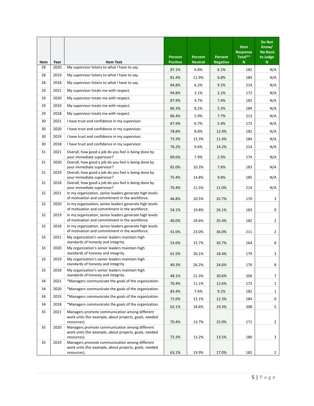| Item | Year | <b>Item Text</b>                                                                                                        | Percent<br><b>Positive</b> | Percent<br><b>Neutral</b> | Percent<br><b>Negative</b> | <b>Item</b><br><b>Response</b><br>Total**<br>N. | <b>Do Not</b><br>Know/<br><b>No Basis</b><br>to Judge<br>N |
|------|------|-------------------------------------------------------------------------------------------------------------------------|----------------------------|---------------------------|----------------------------|-------------------------------------------------|------------------------------------------------------------|
| 28   | 2020 | My supervisor listens to what I have to say.                                                                            | 87.1%                      | 6.8%                      | 6.1%                       | 182                                             | N/A                                                        |
| 28   | 2019 | My supervisor listens to what I have to say.                                                                            | 81.4%                      | 11.9%                     | 6.8%                       | 184                                             | N/A                                                        |
| 28   | 2018 | My supervisor listens to what I have to say.                                                                            | 84.8%                      | 6.2%                      | 9.1%                       | 214                                             | N/A                                                        |
| 29   | 2021 | My supervisor treats me with respect.                                                                                   | 94.8%                      | 3.1%                      | 2.1%                       | 172                                             | N/A                                                        |
| 29   | 2020 | My supervisor treats me with respect.                                                                                   | 87.9%                      | 4.7%                      | 7.4%                       | 182                                             | N/A                                                        |
| 29   | 2019 | My supervisor treats me with respect.                                                                                   | 86.3%                      | 8.2%                      | 5.5%                       | 184                                             | N/A                                                        |
| 29   | 2018 | My supervisor treats me with respect.                                                                                   | 86.4%                      | 5.9%                      | 7.7%                       | 213                                             | N/A                                                        |
| 30   | 2021 | I have trust and confidence in my supervisor.                                                                           | 87.9%                      | 6.7%                      | 5.4%                       | 172                                             | N/A                                                        |
| 30   | 2020 | I have trust and confidence in my supervisor.                                                                           | 78.8%                      | 8.8%                      | 12.4%                      | 182                                             | N/A                                                        |
| 30   | 2019 | I have trust and confidence in my supervisor.                                                                           | 73.3%                      | 15.3%                     | 11.4%                      | 184                                             | N/A                                                        |
| 30   | 2018 | I have trust and confidence in my supervisor.                                                                           | 76.2%                      | 9.6%                      | 14.2%                      | 214                                             | N/A                                                        |
| 31   | 2021 | Overall, how good a job do you feel is being done by<br>your immediate supervisor?                                      | 89.6%                      | 7.9%                      | 2.5%                       | 174                                             | N/A                                                        |
| 31   | 2020 | Overall, how good a job do you feel is being done by<br>your immediate supervisor?                                      | 82.0%                      | 10.3%                     | 7.6%                       | 183                                             | N/A                                                        |
| 31   | 2019 | Overall, how good a job do you feel is being done by<br>your immediate supervisor?                                      | 75.4%                      | 14.8%                     | 9.8%                       | 185                                             | N/A                                                        |
| 31   | 2018 | Overall, how good a job do you feel is being done by<br>your immediate supervisor?                                      | 76.4%                      | 12.5%                     | 11.0%                      | 214                                             | N/A                                                        |
| 32   | 2021 | In my organization, senior leaders generate high levels<br>of motivation and commitment in the workforce.               | 46.8%                      | 20.5%                     | 32.7%                      | 170                                             | 3                                                          |
| 32   | 2020 | In my organization, senior leaders generate high levels<br>of motivation and commitment in the workforce.               | 54.1%                      | 19.8%                     | 26.1%                      | 183                                             | 0                                                          |
| 32   | 2019 | In my organization, senior leaders generate high levels<br>of motivation and commitment in the workforce.               | 40.0%                      | 24.6%                     | 35.4%                      | 182                                             | $\overline{2}$                                             |
| 32   | 2018 | In my organization, senior leaders generate high levels<br>of motivation and commitment in the workforce.               | 41.0%                      | 23.0%                     | 36.0%                      | 211                                             | $\overline{2}$                                             |
| 33   | 2021 | My organization's senior leaders maintain high<br>standards of honesty and integrity.                                   | 53.6%                      | 15.7%                     | 30.7%                      | 164                                             | 8                                                          |
| 33   | 2020 | My organization's senior leaders maintain high<br>standards of honesty and integrity.                                   | 61.5%                      | 20.1%                     | 18.4%                      | 179                                             | 3                                                          |
| 33   | 2019 | My organization's senior leaders maintain high<br>standards of honesty and integrity.                                   | 49.3%                      | 26.2%                     | 24.6%                      | 176                                             | 8                                                          |
| 33   | 2018 | My organization's senior leaders maintain high<br>standards of honesty and integrity.                                   | 48.1%                      | 21.3%                     | 30.6%                      | 206                                             | 7                                                          |
| 34   | 2021 | *Managers communicate the goals of the organization.                                                                    | 76.4%                      | 11.1%                     | 12.6%                      | 172                                             | 1                                                          |
| 34   | 2020 | *Managers communicate the goals of the organization.                                                                    | 83.4%                      | 7.6%                      | 9.1%                       | 182                                             | $\mathbf{1}$                                               |
| 34   | 2019 | *Managers communicate the goals of the organization.                                                                    | 72.6%                      | 15.1%                     | 12.3%                      | 184                                             | 0                                                          |
| 34   | 2018 | *Managers communicate the goals of the organization.                                                                    | 62.1%                      | 18.6%                     | 19.3%                      | 208                                             | 5                                                          |
| 35   | 2021 | Managers promote communication among different<br>work units (for example, about projects, goals, needed<br>resources). | 70.4%                      | 13.7%                     | 15.9%                      | 171                                             | $\overline{2}$                                             |
| 35   | 2020 | Managers promote communication among different<br>work units (for example, about projects, goals, needed<br>resources). | 73.3%                      | 13.2%                     | 13.5%                      | 180                                             | 3                                                          |
| 35   | 2019 | Managers promote communication among different<br>work units (for example, about projects, goals, needed<br>resources). | 63.1%                      | 19.9%                     | 17.0%                      | 182                                             | $\mathbf{2}$                                               |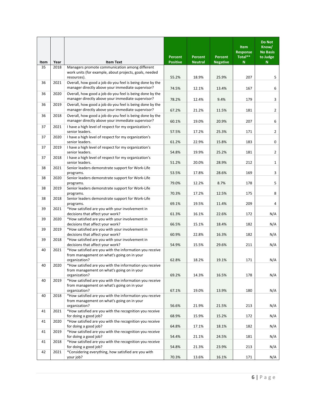| Item | Year | <b>Item Text</b>                                                                                              | Percent<br><b>Positive</b> | Percent<br><b>Neutral</b> | Percent<br><b>Negative</b> | <b>Item</b><br><b>Response</b><br>Total**<br>N | <b>Do Not</b><br>Know/<br><b>No Basis</b><br>to Judge<br>$\mathbf N$ |
|------|------|---------------------------------------------------------------------------------------------------------------|----------------------------|---------------------------|----------------------------|------------------------------------------------|----------------------------------------------------------------------|
| 35   | 2018 | Managers promote communication among different                                                                |                            |                           |                            |                                                |                                                                      |
|      |      | work units (for example, about projects, goals, needed<br>resources).                                         | 55.2%                      | 18.9%                     | 25.9%                      | 207                                            | 5                                                                    |
| 36   | 2021 | Overall, how good a job do you feel is being done by the                                                      |                            |                           |                            |                                                |                                                                      |
|      |      | manager directly above your immediate supervisor?                                                             | 74.5%                      | 12.1%                     | 13.4%                      | 167                                            | 6                                                                    |
| 36   | 2020 | Overall, how good a job do you feel is being done by the<br>manager directly above your immediate supervisor? | 78.2%                      | 12.4%                     | 9.4%                       | 179                                            | 3                                                                    |
| 36   | 2019 | Overall, how good a job do you feel is being done by the<br>manager directly above your immediate supervisor? | 67.2%                      | 21.2%                     | 11.5%                      | 181                                            | $\overline{2}$                                                       |
| 36   | 2018 | Overall, how good a job do you feel is being done by the                                                      |                            |                           |                            |                                                |                                                                      |
|      |      | manager directly above your immediate supervisor?                                                             | 60.1%                      | 19.0%                     | 20.9%                      | 207                                            | 6                                                                    |
| 37   | 2021 | I have a high level of respect for my organization's<br>senior leaders.                                       | 57.5%                      | 17.2%                     | 25.3%                      | 171                                            | $\overline{2}$                                                       |
| 37   | 2020 | I have a high level of respect for my organization's                                                          |                            |                           |                            |                                                |                                                                      |
| 37   | 2019 | senior leaders.<br>I have a high level of respect for my organization's                                       | 61.2%                      | 22.9%                     | 15.8%                      | 183                                            | 0                                                                    |
|      |      | senior leaders.                                                                                               | 54.8%                      | 19.9%                     | 25.2%                      | 181                                            | $\overline{2}$                                                       |
| 37   | 2018 | I have a high level of respect for my organization's<br>senior leaders.                                       | 51.2%                      | 20.0%                     | 28.9%                      | 212                                            | $\mathbf{1}$                                                         |
| 38   | 2021 | Senior leaders demonstrate support for Work-Life<br>programs.                                                 | 53.5%                      | 17.8%                     | 28.6%                      | 169                                            | 3                                                                    |
| 38   | 2020 | Senior leaders demonstrate support for Work-Life<br>programs.                                                 | 79.0%                      | 12.2%                     | 8.7%                       | 178                                            | 5                                                                    |
| 38   | 2019 | Senior leaders demonstrate support for Work-Life<br>programs.                                                 | 70.3%                      | 17.2%                     | 12.5%                      | 175                                            | 8                                                                    |
| 38   | 2018 | Senior leaders demonstrate support for Work-Life                                                              |                            |                           |                            |                                                |                                                                      |
| 39   |      | programs.<br>*How satisfied are you with your involvement in                                                  | 69.1%                      | 19.5%                     | 11.4%                      | 209                                            | 4                                                                    |
|      | 2021 | decisions that affect your work?                                                                              | 61.3%                      | 16.1%                     | 22.6%                      | 172                                            | N/A                                                                  |
| 39   | 2020 | *How satisfied are you with your involvement in                                                               |                            |                           |                            |                                                |                                                                      |
| 39   | 2019 | decisions that affect your work?<br>*How satisfied are you with your involvement in                           | 66.5%                      | 15.1%                     | 18.4%                      | 182                                            | N/A                                                                  |
|      |      | decisions that affect your work?                                                                              | 60.9%                      | 22.8%                     | 16.3%                      | 182                                            | N/A                                                                  |
| 39   | 2018 | *How satisfied are you with your involvement in                                                               |                            |                           |                            |                                                |                                                                      |
| 40   | 2021 | decisions that affect your work?<br>*How satisfied are you with the information you receive                   | 54.9%                      | 15.5%                     | 29.6%                      | 211                                            | N/A                                                                  |
|      |      | from management on what's going on in your<br>organization?                                                   | 62.8%                      | 18.2%                     | 19.1%                      | 171                                            | N/A                                                                  |
| 40   | 2020 | *How satisfied are you with the information you receive                                                       |                            |                           |                            |                                                |                                                                      |
|      |      | from management on what's going on in your                                                                    |                            |                           |                            |                                                |                                                                      |
|      |      | organization?<br>*How satisfied are you with the information you receive                                      | 69.2%                      | 14.3%                     | 16.5%                      | 178                                            | N/A                                                                  |
| 40   | 2019 | from management on what's going on in your                                                                    |                            |                           |                            |                                                |                                                                      |
|      |      | organization?                                                                                                 | 67.1%                      | 19.0%                     | 13.9%                      | 180                                            | N/A                                                                  |
| 40   | 2018 | *How satisfied are you with the information you receive                                                       |                            |                           |                            |                                                |                                                                      |
|      |      | from management on what's going on in your<br>organization?                                                   | 56.6%                      | 21.9%                     | 21.5%                      | 213                                            | N/A                                                                  |
| 41   | 2021 | *How satisfied are you with the recognition you receive                                                       |                            |                           |                            |                                                |                                                                      |
|      |      | for doing a good job?                                                                                         | 68.9%                      | 15.9%                     | 15.2%                      | 172                                            | N/A                                                                  |
| 41   | 2020 | *How satisfied are you with the recognition you receive<br>for doing a good job?                              | 64.8%                      | 17.1%                     | 18.1%                      | 182                                            | N/A                                                                  |
| 41   | 2019 | *How satisfied are you with the recognition you receive                                                       |                            |                           |                            |                                                |                                                                      |
|      |      | for doing a good job?                                                                                         | 54.4%                      | 21.1%                     | 24.5%                      | 181                                            | N/A                                                                  |
| 41   | 2018 | *How satisfied are you with the recognition you receive<br>for doing a good job?                              | 54.8%                      | 21.3%                     | 23.9%                      | 213                                            | N/A                                                                  |
| 42   | 2021 | *Considering everything, how satisfied are you with                                                           |                            |                           |                            |                                                |                                                                      |
|      |      | your job?                                                                                                     | 70.3%                      | 13.6%                     | 16.1%                      | 171                                            | N/A                                                                  |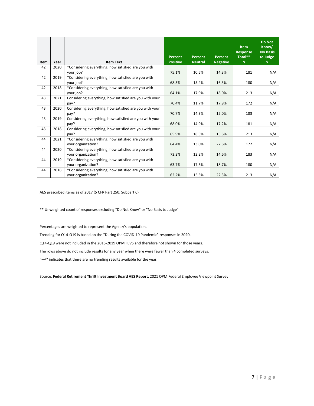| Item | Year | <b>Item Text</b>                                                          | Percent<br><b>Positive</b> | Percent<br><b>Neutral</b> | Percent<br><b>Negative</b> | <b>Item</b><br><b>Response</b><br>Total**<br>N. | Do Not<br>Know/<br><b>No Basis</b><br>to Judge<br>$\mathbb N$ |
|------|------|---------------------------------------------------------------------------|----------------------------|---------------------------|----------------------------|-------------------------------------------------|---------------------------------------------------------------|
| 42   | 2020 | *Considering everything, how satisfied are you with<br>your job?          | 75.1%                      | 10.5%                     | 14.3%                      | 181                                             | N/A                                                           |
| 42   | 2019 | *Considering everything, how satisfied are you with<br>your job?          | 68.3%                      | 15.4%                     | 16.3%                      | 180                                             | N/A                                                           |
| 42   | 2018 | *Considering everything, how satisfied are you with<br>your job?          | 64.1%                      | 17.9%                     | 18.0%                      | 213                                             | N/A                                                           |
| 43   | 2021 | Considering everything, how satisfied are you with your<br>pay?           | 70.4%                      | 11.7%                     | 17.9%                      | 172                                             | N/A                                                           |
| 43   | 2020 | Considering everything, how satisfied are you with your<br>pay?           | 70.7%                      | 14.3%                     | 15.0%                      | 183                                             | N/A                                                           |
| 43   | 2019 | Considering everything, how satisfied are you with your<br>pay?           | 68.0%                      | 14.9%                     | 17.2%                      | 181                                             | N/A                                                           |
| 43   | 2018 | Considering everything, how satisfied are you with your<br>pay?           | 65.9%                      | 18.5%                     | 15.6%                      | 213                                             | N/A                                                           |
| 44   | 2021 | *Considering everything, how satisfied are you with<br>your organization? | 64.4%                      | 13.0%                     | 22.6%                      | 172                                             | N/A                                                           |
| 44   | 2020 | *Considering everything, how satisfied are you with<br>your organization? | 73.2%                      | 12.2%                     | 14.6%                      | 183                                             | N/A                                                           |
| 44   | 2019 | *Considering everything, how satisfied are you with<br>your organization? | 63.7%                      | 17.6%                     | 18.7%                      | 180                                             | N/A                                                           |
| 44   | 2018 | *Considering everything, how satisfied are you with<br>your organization? | 62.2%                      | 15.5%                     | 22.3%                      | 213                                             | N/A                                                           |

AES prescribed items as of 2017 (5 CFR Part 250, Subpart C)

\*\* Unweighted count of responses excluding "Do Not Know" or "No Basis to Judge"

Percentages are weighted to represent the Agency's population.

Trending for Q14-Q19 is based on the "During the COVID-19 Pandemic" responses in 2020.

Q14-Q19 were not included in the 2015-2019 OPM FEVS and therefore not shown for those years.

The rows above do not include results for any year when there were fewer than 4 completed surveys.

"-<sup>a</sup>" indicates that there are no trending results available for the year.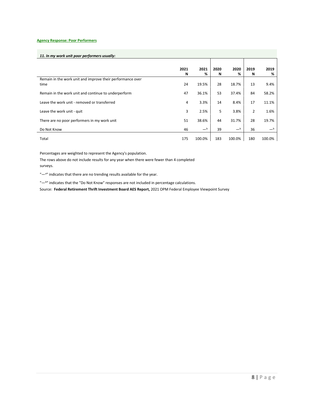#### **Agency Response: Poor Performers**

# *11. In my work unit poor performers usually:*

|                                                            | 2021 | 2021   | 2020 | 2020        | 2019           | 2019             |
|------------------------------------------------------------|------|--------|------|-------------|----------------|------------------|
|                                                            | N    | %      | N    | %           | N              | %                |
| Remain in the work unit and improve their performance over |      |        |      |             |                |                  |
| time                                                       | 24   | 19.5%  | 28   | 18.7%       | 13             | 9.4%             |
| Remain in the work unit and continue to underperform       | 47   | 36.1%  | 53   | 37.4%       | 84             | 58.2%            |
| Leave the work unit - removed or transferred               | 4    | 3.3%   | 14   | 8.4%        | 17             | 11.1%            |
| Leave the work unit - quit                                 | 3    | 2.5%   | 5    | 3.8%        | $\overline{2}$ | 1.6%             |
| There are no poor performers in my work unit               | 51   | 38.6%  | 44   | 31.7%       | 28             | 19.7%            |
| Do Not Know                                                | 46   | $-b$   | 39   | $-^{\rm b}$ | 36             | $-^{\mathsf{b}}$ |
| Total                                                      | 175  | 100.0% | 183  | 100.0%      | 180            | 100.0%           |

Percentages are weighted to represent the Agency's population.

The rows above do not include results for any year when there were fewer than 4 completed surveys.

"-a" indicates that there are no trending results available for the year.

"-b" indicates that the "Do Not Know" responses are not included in percentage calculations.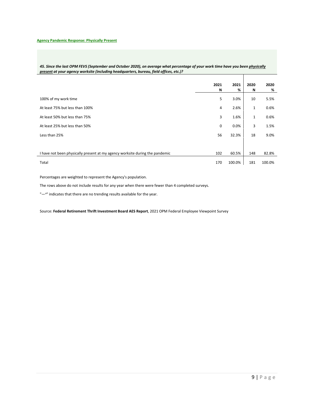| 45. Since the last OPM FEVS (September and October 2020), on average what percentage of your work time have you been physically |  |
|---------------------------------------------------------------------------------------------------------------------------------|--|
| present at your agency worksite (including headquarters, bureau, field offices, etc.)?                                          |  |
|                                                                                                                                 |  |

|                                                                              | 2021<br>N | 2021<br>% | 2020<br>N    | 2020<br>% |
|------------------------------------------------------------------------------|-----------|-----------|--------------|-----------|
| 100% of my work time                                                         | 5         | 3.0%      | 10           | 5.5%      |
| At least 75% but less than 100%                                              | 4         | 2.6%      | $\mathbf{1}$ | 0.6%      |
| At least 50% but less than 75%                                               | 3         | 1.6%      | $\mathbf{1}$ | 0.6%      |
| At least 25% but less than 50%                                               | 0         | 0.0%      | 3            | 1.5%      |
| Less than 25%                                                                | 56        | 32.3%     | 18           | 9.0%      |
|                                                                              |           |           |              |           |
| I have not been physically present at my agency worksite during the pandemic | 102       | 60.5%     | 148          | 82.8%     |
| Total                                                                        | 170       | 100.0%    | 181          | 100.0%    |

Percentages are weighted to represent the Agency's population.

The rows above do not include results for any year when there were fewer than 4 completed surveys.

"-a" indicates that there are no trending results available for the year.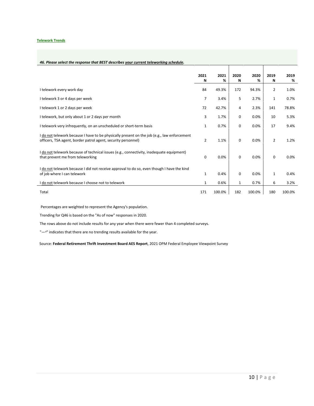#### **Telework Trends**

# *46. Please select the response that BEST describes your current teleworking schedule.*

|                                                                                                                                                              | 2021           | 2021<br>% | 2020         | 2020   | 2019           | 2019   |
|--------------------------------------------------------------------------------------------------------------------------------------------------------------|----------------|-----------|--------------|--------|----------------|--------|
|                                                                                                                                                              | Ν              |           | N            | %      | N              | %      |
| I telework every work day                                                                                                                                    | 84             | 49.3%     | 172          | 94.3%  | 2              | 1.0%   |
| I telework 3 or 4 days per week                                                                                                                              | $\overline{7}$ | 3.4%      | 5            | 2.7%   | $\mathbf{1}$   | 0.7%   |
| I telework 1 or 2 days per week                                                                                                                              | 72             | 42.7%     | 4            | 2.3%   | 141            | 78.8%  |
| I telework, but only about 1 or 2 days per month                                                                                                             | 3              | 1.7%      | $\mathbf 0$  | 0.0%   | 10             | 5.3%   |
| I telework very infrequently, on an unscheduled or short-term basis                                                                                          | $\mathbf{1}$   | 0.7%      | $\mathbf 0$  | 0.0%   | 17             | 9.4%   |
| I do not telework because I have to be physically present on the job (e.g., law enforcement<br>officers, TSA agent, border patrol agent, security personnel) | $\overline{2}$ | 1.1%      | 0            | 0.0%   | $\overline{2}$ | 1.2%   |
| I do not telework because of technical issues (e.g., connectivity, inadequate equipment)<br>that prevent me from teleworking                                 | 0              | 0.0%      | $\mathbf 0$  | 0.0%   | $\mathbf 0$    | 0.0%   |
| I do not telework because I did not receive approval to do so, even though I have the kind<br>of job where I can telework                                    | $\mathbf{1}$   | 0.4%      | $\mathbf 0$  | 0.0%   | $\mathbf{1}$   | 0.4%   |
| I do not telework because I choose not to telework                                                                                                           | 1              | 0.6%      | $\mathbf{1}$ | 0.7%   | 6              | 3.2%   |
| Total                                                                                                                                                        | 171            | 100.0%    | 182          | 100.0% | 180            | 100.0% |

Percentages are weighted to represent the Agency's population.

Trending for Q46 is based on the "As of now" responses in 2020.

The rows above do not include results for any year when there were fewer than 4 completed surveys.

"-<sup>a</sup>" indicates that there are no trending results available for the year.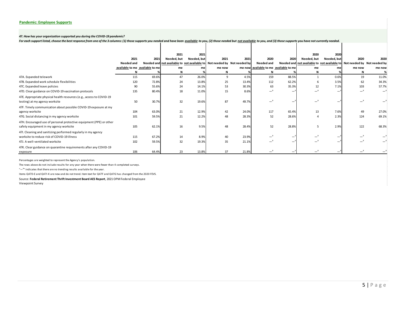#### *47. How has your organization supported you during the COVID-19 pandemic?*

For each support listed, choose the best response from one of the 3 columns: (1) those supports you needed and have been available to you, (2) those needed but not available to you, and (3) those supports you have not curr

|                                                                                                               |                                 |       | 2021        | 2021        |                                                                          |       |                                        |                          | 2020             | 2020                     |                                                                          |        |
|---------------------------------------------------------------------------------------------------------------|---------------------------------|-------|-------------|-------------|--------------------------------------------------------------------------|-------|----------------------------------------|--------------------------|------------------|--------------------------|--------------------------------------------------------------------------|--------|
|                                                                                                               | 2021                            | 2021  | Needed, but | Needed, but | 2021                                                                     | 2021  | 2020                                   | 2020                     | Needed, but      | Needed, but              | 2020                                                                     | 2020   |
|                                                                                                               | Needed and                      |       |             |             | Needed and not available to not available to Not needed by Not needed by |       | <b>Needed and</b>                      |                          |                  |                          | Needed and not available to not available to Not needed by Not needed by |        |
|                                                                                                               | available to me available to me |       | me          | mel         | me now                                                                   |       | me now available to me available to me |                          | me               | me                       | me now                                                                   | me now |
|                                                                                                               |                                 |       | N           |             | N                                                                        |       |                                        |                          |                  |                          | N                                                                        | %      |
| 47A. Expanded telework                                                                                        | 115                             | 69.6% | 47          | 26.0%       | 9                                                                        | 4.5%  | 159                                    | 88.5%                    |                  | 0.6%                     | 19                                                                       | 11.0%  |
| 47B. Expanded work schedule flexibilities                                                                     | 120                             | 72.8% | 24          | 13.8%       | 25                                                                       | 13.4% | 112                                    | 62.2%                    | 6                | 3.5%                     | 62                                                                       | 34.3%  |
| 47C. Expanded leave policies                                                                                  | 90                              | 55.6% | 24          | 14.1%       | 53                                                                       | 30.3% | 63                                     | 35.3%                    | 12               | 7.1%                     | 103                                                                      | 57.7%  |
| 47D. Clear guidance on COVID-19 vaccination protocols                                                         | 135                             | 80.4% | 18          | 11.0%       | 15                                                                       | 8.6%  |                                        | $\overline{\phantom{m}}$ | $-$ <sup>a</sup> | $\overline{\phantom{m}}$ | $-$ <sup>a</sup>                                                         |        |
| 47E. Appropriate physical health resources (e.g., access to COVID-19<br>testing) at my agency worksite        | 50                              | 30.7% | 32          | 19.6%       | 87                                                                       | 49.7% |                                        |                          | —                |                          |                                                                          |        |
| 47F. Timely communication about possible COVID-19 exposure at my                                              |                                 |       |             |             |                                                                          |       |                                        |                          |                  |                          |                                                                          |        |
| agency worksite                                                                                               | 104                             | 63.0% | 21          | 12.9%       | 42                                                                       | 24.0% | 117                                    | 65.4%                    | 13               | 7.6%                     | 49                                                                       | 27.0%  |
| 47G. Social distancing in my agency worksite                                                                  | 101                             | 59.5% | 21          | 12.2%       | 48                                                                       | 28.3% | 52                                     | 28.6%                    |                  | 2.3%                     | 124                                                                      | 69.1%  |
| 47H. Encouraged use of personal protective equipment (PPE) or other<br>safety equipment in my agency worksite | 105                             | 62.1% | 16          | 9.5%        | 48                                                                       | 28.4% | 52                                     | 28.8%                    | 5                | 2.9%                     | 122                                                                      | 68.3%  |
| 47I. Cleaning and sanitizing performed regularly in my agency<br>worksite to reduce risk of COVID-19 illness  | 115                             | 67.2% | 14          | 8.9%        | 40                                                                       | 23.9% |                                        |                          | $-$ <sup>a</sup> |                          | $-$ <sup>a</sup>                                                         |        |
| 47J. A well-ventilated worksite                                                                               | 102                             | 59.5% | 32          | 19.3%       | 35                                                                       | 21.1% |                                        | — 1                      | $-$ <sup>a</sup> | —                        | $-$ <sup>a</sup>                                                         |        |
| 47K. Clear guidance on quarantine requirements after any COVID-19                                             |                                 |       |             |             |                                                                          |       |                                        |                          |                  |                          |                                                                          |        |
| exposure                                                                                                      | 106                             | 64.4% | 23          | 13.8%       | 37                                                                       | 21.8% |                                        |                          |                  |                          |                                                                          |        |

Percentages are weighted to represent the Agency's population.

The rows above do not include results for any year when there were fewer than 4 completed surveys.

"-<sup>a</sup>" indicates that there are no trending results available for the year.

Items Q47D-E and Q47I-K are new and do not trend. Item text for Q47F and Q47G has changed from the 2020 FEVS.

Source: **Federal Retirement Thrift Investment Board AES Report**, 2021 OPM Federal Employee

Viewpoint Survey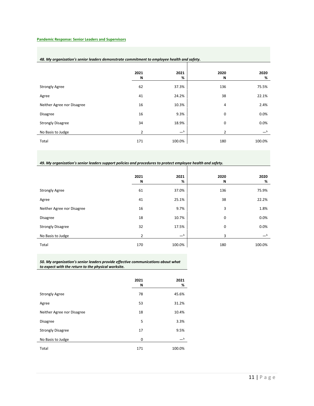# **Pandemic Response: Senior Leaders and Supervisors**

l,

# *48. My organization's senior leaders demonstrate commitment to employee health and safety.*

|                            | 2021<br>N | 2021<br>% | 2020<br>N      | 2020<br>% |
|----------------------------|-----------|-----------|----------------|-----------|
| <b>Strongly Agree</b>      | 62        | 37.3%     | 136            | 75.5%     |
| Agree                      | 41        | 24.2%     | 38             | 22.1%     |
| Neither Agree nor Disagree | 16        | 10.3%     | 4              | 2.4%      |
| <b>Disagree</b>            | 16        | 9.3%      | 0              | 0.0%      |
| <b>Strongly Disagree</b>   | 34        | 18.9%     | 0              | 0.0%      |
| No Basis to Judge          | 2         | $-b$      | $\overline{2}$ | $-b$      |
| Total                      | 171       | 100.0%    | 180            | 100.0%    |

*49. My organization's senior leaders support policies and procedures to protect employee health and safety.*

|                            | 2021<br>N      | 2021<br>%        | 2020<br>N | 2020<br>%        |
|----------------------------|----------------|------------------|-----------|------------------|
| <b>Strongly Agree</b>      | 61             | 37.0%            | 136       | 75.9%            |
| Agree                      | 41             | 25.1%            | 38        | 22.2%            |
| Neither Agree nor Disagree | 16             | 9.7%             | 3         | 1.8%             |
| <b>Disagree</b>            | 18             | 10.7%            | 0         | 0.0%             |
| <b>Strongly Disagree</b>   | 32             | 17.5%            | 0         | 0.0%             |
| No Basis to Judge          | $\overline{2}$ | $-^{\mathsf{b}}$ | 3         | $-^{\mathsf{b}}$ |
| Total                      | 170            | 100.0%           | 180       | 100.0%           |

*50. My organization's senior leaders provide effective communications about what to expect with the return to the physical worksite.*

|                            | 2021<br>N | 2021<br>%        |
|----------------------------|-----------|------------------|
| <b>Strongly Agree</b>      | 78        | 45.6%            |
| Agree                      | 53        | 31.2%            |
| Neither Agree nor Disagree | 18        | 10.4%            |
| <b>Disagree</b>            | 5         | 3.3%             |
| <b>Strongly Disagree</b>   | 17        | 9.5%             |
| No Basis to Judge          | 0         | $-^{\mathsf{b}}$ |
| Total                      | 171       | 100.0%           |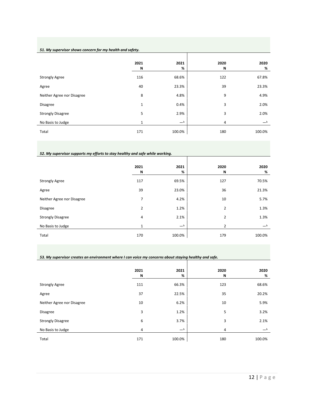# *51. My supervisor shows concern for my health and safety.*

|                            | 2021<br>N    | 2021<br>%   | 2020<br>N | 2020<br>%        |
|----------------------------|--------------|-------------|-----------|------------------|
| <b>Strongly Agree</b>      | 116          | 68.6%       | 122       | 67.8%            |
| Agree                      | 40           | 23.3%       | 39        | 23.3%            |
| Neither Agree nor Disagree | 8            | 4.8%        | 9         | 4.9%             |
| <b>Disagree</b>            | $\mathbf{1}$ | 0.4%        | 3         | 2.0%             |
| <b>Strongly Disagree</b>   | 5            | 2.9%        | 3         | 2.0%             |
| No Basis to Judge          | 1            | $-^{\rm b}$ | 4         | $-^{\mathsf{b}}$ |
| Total                      | 171          | 100.0%      | 180       | 100.0%           |

# *52. My supervisor supports my efforts to stay healthy and safe while working.*

|                            | 2021<br>N | 2021<br>% | 2020<br>N      | 2020<br>% |
|----------------------------|-----------|-----------|----------------|-----------|
| <b>Strongly Agree</b>      | 117       | 69.5%     | 127            | 70.5%     |
| Agree                      | 39        | 23.0%     | 36             | 21.3%     |
| Neither Agree nor Disagree | 7         | 4.2%      | 10             | 5.7%      |
| <b>Disagree</b>            | 2         | 1.2%      | 2              | 1.3%      |
| <b>Strongly Disagree</b>   | 4         | 2.1%      | 2              | 1.3%      |
| No Basis to Judge          | 1         | $-b$      | $\overline{2}$ | $-b$      |
| Total                      | 170       | 100.0%    | 179            | 100.0%    |

T

#### *53. My supervisor creates an environment where I can voice my concerns about staying healthy and safe.* Τ

|                            | 2021<br>N | 2021<br>% | 2020<br>Ν | 2020<br>% |
|----------------------------|-----------|-----------|-----------|-----------|
| <b>Strongly Agree</b>      | 111       | 66.3%     | 123       | 68.6%     |
| Agree                      | 37        | 22.5%     | 35        | 20.2%     |
| Neither Agree nor Disagree | 10        | 6.2%      | 10        | 5.9%      |
| <b>Disagree</b>            | 3         | 1.2%      | 5         | 3.2%      |
| <b>Strongly Disagree</b>   | 6         | 3.7%      | 3         | 2.1%      |
| No Basis to Judge          | 4         | $-b$      | 4         | $-b$      |
| Total                      | 171       | 100.0%    | 180       | 100.0%    |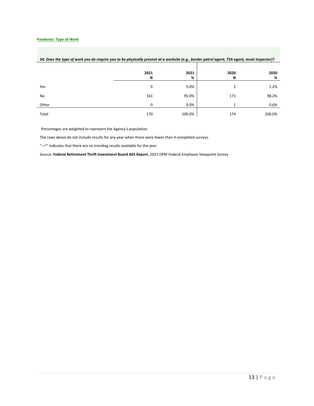# **Pandemic: Type of Work**

|       | 2021<br>N | 2021<br>% | 2020<br>N | 2020<br>% |
|-------|-----------|-----------|-----------|-----------|
| Yes   | 9         | 5.0%      | 2         | 1.2%      |
| No    | 161       | 95.0%     | 171       | 98.2%     |
| Other | $\Omega$  | 0.0%      |           | 0.6%      |
| Total | 170       | 100.0%    | 174       | 100.0%    |

# *54. Does the type of work you do require you to be physically present at a worksite (e.g., border patrol agent, TSA agent, meat inspector)?*

Percentages are weighted to represent the Agency's population.

The rows above do not include results for any year when there were fewer than 4 completed surveys.

"-a" indicates that there are no trending results available for the year.